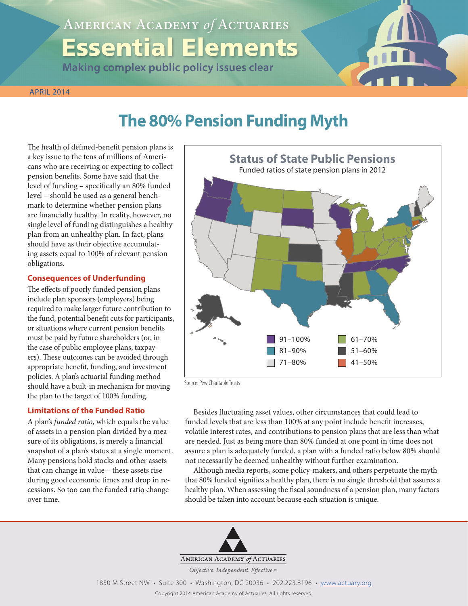# American Academy *of* Actuaries Essential Elements

**Making complex public policy issues clear**

#### **APRIL 2014**

## **The 80% Pension Funding Myth**

The health of defined-benefit pension plans is a key issue to the tens of millions of Americans who are receiving or expecting to collect pension benefits. Some have said that the level of funding – specifically an 80% funded level – should be used as a general benchmark to determine whether pension plans are financially healthy. In reality, however, no single level of funding distinguishes a healthy plan from an unhealthy plan. In fact, plans should have as their objective accumulating assets equal to 100% of relevant pension obligations.

#### **Consequences of Underfunding**

The effects of poorly funded pension plans include plan sponsors (employers) being required to make larger future contribution to the fund, potential benefit cuts for participants, or situations where current pension benefits must be paid by future shareholders (or, in the case of public employee plans, taxpayers). These outcomes can be avoided through appropriate benefit, funding, and investment policies. A plan's actuarial funding method should have a built-in mechanism for moving the plan to the target of 100% funding.

#### **Limitations of the Funded Ratio**

A plan's *funded ratio*, which equals the value of assets in a pension plan divided by a measure of its obligations, is merely a financial snapshot of a plan's status at a single moment. Many pensions hold stocks and other assets that can change in value – these assets rise during good economic times and drop in recessions. So too can the funded ratio change over time.



Source: Pew Charitable Trusts

Besides fluctuating asset values, other circumstances that could lead to funded levels that are less than 100% at any point include benefit increases, volatile interest rates, and contributions to pension plans that are less than what are needed. Just as being more than 80% funded at one point in time does not assure a plan is adequately funded, a plan with a funded ratio below 80% should not necessarily be deemed unhealthy without further examination.

Although media reports, some policy-makers, and others perpetuate the myth that 80% funded signifies a healthy plan, there is no single threshold that assures a healthy plan. When assessing the fiscal soundness of a pension plan, many factors should be taken into account because each situation is unique.



ESSENTIAL ELEMENTS: 80% Funding Myth American Academy *of* Actuaries **1** 1850 M Street NW • Suite 300 • Washington, DC 20036 • 202.223.8196 • www.actuary.org Copyright 2014 American Academy of Actuaries. All rights reserved.